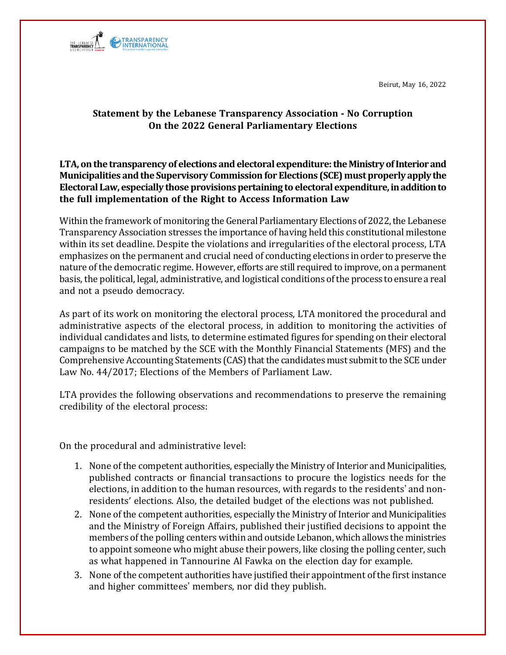Beirut, May 16, 2022



## **Statement by the Lebanese Transparency Association - No Corruption On the 2022 General Parliamentary Elections**

**LTA, on the transparency of elections and electoral expenditure: the Ministry of Interior and Municipalities and the Supervisory Commission for Elections (SCE) must properly apply the Electoral Law, especially those provisions pertaining to electoral expenditure, in addition to the full implementation of the Right to Access Information Law**

Within the framework of monitoring the General Parliamentary Elections of 2022, the Lebanese Transparency Association stresses the importance of having held this constitutional milestone within its set deadline. Despite the violations and irregularities of the electoral process, LTA emphasizes on the permanent and crucial need of conducting elections in order to preserve the nature of the democratic regime. However, efforts are still required to improve, on a permanent basis, the political, legal, administrative, and logistical conditions ofthe process to ensure a real and not a pseudo democracy.

As part of its work on monitoring the electoral process, LTA monitored the procedural and administrative aspects of the electoral process, in addition to monitoring the activities of individual candidates and lists, to determine estimated figures for spending on their electoral campaigns to be matched by the SCE with the Monthly Financial Statements (MFS) and the Comprehensive Accounting Statements (CAS) that the candidates must submit to the SCE under Law No. 44/2017; Elections of the Members of Parliament Law.

LTA provides the following observations and recommendations to preserve the remaining credibility of the electoral process:

On the procedural and administrative level:

- 1. None of the competent authorities, especially the Ministry of Interior and Municipalities, published contracts or financial transactions to procure the logistics needs for the elections, in addition to the human resources, with regards to the residents' and nonresidents' elections. Also, the detailed budget of the elections was not published.
- 2. None of the competent authorities, especially the Ministry of Interior and Municipalities and the Ministry of Foreign Affairs, published their justified decisions to appoint the members of the polling centers within and outside Lebanon, which allows the ministries to appoint someone who might abuse their powers, like closing the polling center, such as what happened in Tannourine Al Fawka on the election day for example.
- 3. None of the competent authorities have justified their appointment of the first instance and higher committees' members, nor did they publish.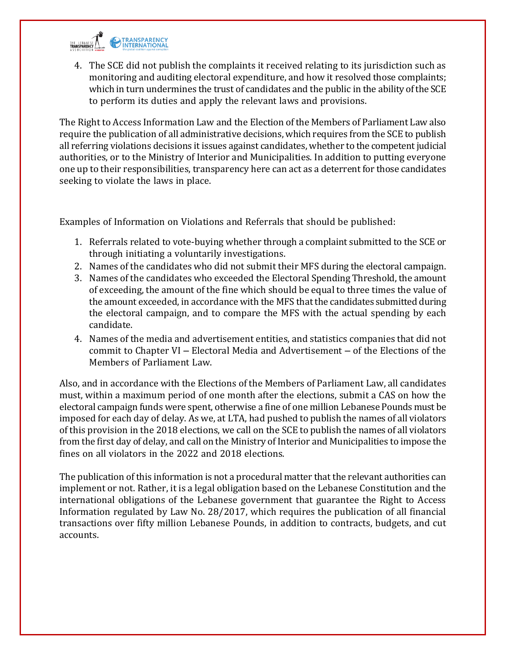

4. The SCE did not publish the complaints it received relating to its jurisdiction such as monitoring and auditing electoral expenditure, and how it resolved those complaints; which in turn undermines the trust of candidates and the public in the ability of the SCE to perform its duties and apply the relevant laws and provisions.

The Right to Access Information Law and the Election of the Members of Parliament Law also require the publication of all administrative decisions, which requires from the SCE to publish all referring violations decisions it issues against candidates, whether to the competent judicial authorities, or to the Ministry of Interior and Municipalities. In addition to putting everyone one up to their responsibilities, transparency here can act as a deterrent for those candidates seeking to violate the laws in place.

Examples of Information on Violations and Referrals that should be published:

- 1. Referrals related to vote-buying whether through a complaint submitted to theSCE or through initiating a voluntarily investigations.
- 2. Names of the candidates who did not submit their MFS during the electoral campaign.
- 3. Names of the candidates who exceeded the Electoral Spending Threshold, the amount of exceeding, the amount of the fine which should be equal to three times the value of the amount exceeded, in accordance with the MFS that the candidates submitted during the electoral campaign, and to compare the MFS with the actual spending by each candidate.
- 4. Names of the media and advertisement entities, and statistics companies that did not commit to Chapter VI – Electoral Media and Advertisement – of the Elections of the Members of Parliament Law.

Also, and in accordance with the Elections of the Members of Parliament Law, all candidates must, within a maximum period of one month after the elections, submit a CAS on how the electoral campaign funds were spent, otherwise a fine of one million Lebanese Pounds must be imposed for each day of delay. As we, at LTA, had pushed to publish the names of all violators of this provision in the 2018 elections, we call on the SCE to publish the names of all violators from the first day of delay, and call on the Ministry of Interior and Municipalities to impose the fines on all violators in the 2022 and 2018 elections.

The publication of this information is not a procedural matter that the relevant authorities can implement or not. Rather, it is a legal obligation based on the Lebanese Constitution and the international obligations of the Lebanese government that guarantee the Right to Access Information regulated by Law No. 28/2017, which requires the publication of all financial transactions over fifty million Lebanese Pounds, in addition to contracts, budgets, and cut accounts.